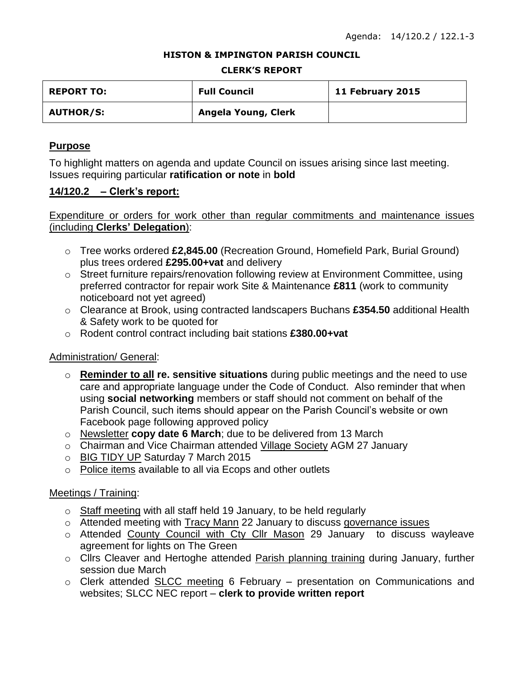#### **HISTON & IMPINGTON PARISH COUNCIL**

#### **CLERK'S REPORT**

| <b>REPORT TO:</b> | <b>Full Council</b> | 11 February 2015 |
|-------------------|---------------------|------------------|
| <b>AUTHOR/S:</b>  | Angela Young, Clerk |                  |

## **Purpose**

To highlight matters on agenda and update Council on issues arising since last meeting. Issues requiring particular **ratification or note** in **bold**

## **14/120.2 – Clerk's report:**

Expenditure or orders for work other than regular commitments and maintenance issues (including **Clerks' Delegation**):

- o Tree works ordered **£2,845.00** (Recreation Ground, Homefield Park, Burial Ground) plus trees ordered **£295.00+vat** and delivery
- o Street furniture repairs/renovation following review at Environment Committee, using preferred contractor for repair work Site & Maintenance **£811** (work to community noticeboard not yet agreed)
- o Clearance at Brook, using contracted landscapers Buchans **£354.50** additional Health & Safety work to be quoted for
- o Rodent control contract including bait stations **£380.00+vat**

## Administration/ General:

- o **Reminder to all re. sensitive situations** during public meetings and the need to use care and appropriate language under the Code of Conduct. Also reminder that when using **social networking** members or staff should not comment on behalf of the Parish Council, such items should appear on the Parish Council's website or own Facebook page following approved policy
- o Newsletter **copy date 6 March**; due to be delivered from 13 March
- o Chairman and Vice Chairman attended Village Society AGM 27 January
- o BIG TIDY UP Saturday 7 March 2015
- o Police items available to all via Ecops and other outlets

## Meetings / Training:

- o Staff meeting with all staff held 19 January, to be held regularly
- o Attended meeting with Tracy Mann 22 January to discuss governance issues
- o Attended County Council with Cty Cllr Mason 29 January to discuss wayleave agreement for lights on The Green
- o Cllrs Cleaver and Hertoghe attended Parish planning training during January, further session due March
- o Clerk attended SLCC meeting 6 February presentation on Communications and websites; SLCC NEC report – **clerk to provide written report**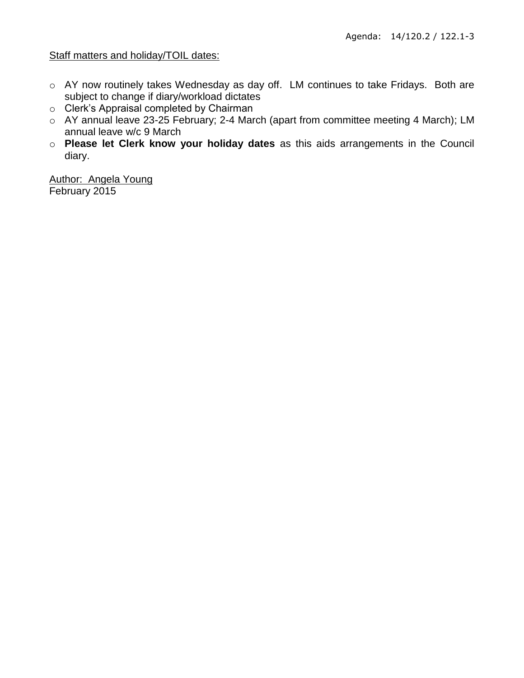## Staff matters and holiday/TOIL dates:

- o AY now routinely takes Wednesday as day off. LM continues to take Fridays. Both are subject to change if diary/workload dictates
- o Clerk's Appraisal completed by Chairman
- o AY annual leave 23-25 February; 2-4 March (apart from committee meeting 4 March); LM annual leave w/c 9 March
- o **Please let Clerk know your holiday dates** as this aids arrangements in the Council diary.

Author: Angela Young February 2015